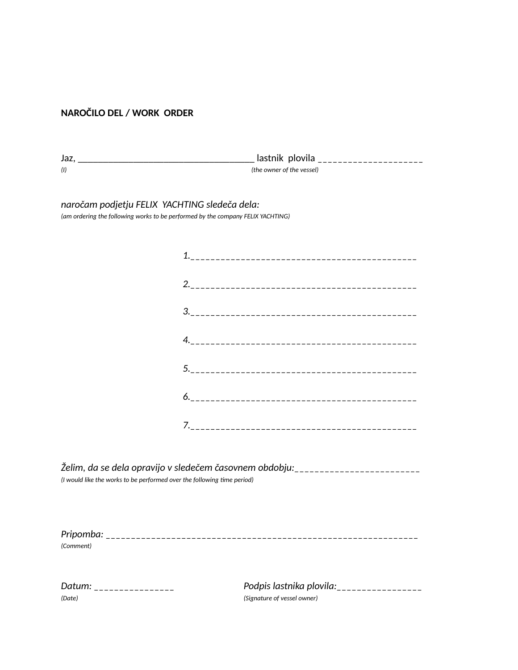## **NAROČILO DEL / WORK ORDER**

| (1)                                                                                                                              | lastnik plovila ______________________<br>(the owner of the vessel)                 |  |  |  |  |  |
|----------------------------------------------------------------------------------------------------------------------------------|-------------------------------------------------------------------------------------|--|--|--|--|--|
| naročam podjetju FELIX YACHTING sledeča dela:<br>(am ordering the following works to be performed by the company FELIX YACHTING) |                                                                                     |  |  |  |  |  |
|                                                                                                                                  |                                                                                     |  |  |  |  |  |
|                                                                                                                                  |                                                                                     |  |  |  |  |  |
|                                                                                                                                  |                                                                                     |  |  |  |  |  |
|                                                                                                                                  |                                                                                     |  |  |  |  |  |
|                                                                                                                                  |                                                                                     |  |  |  |  |  |
|                                                                                                                                  |                                                                                     |  |  |  |  |  |
|                                                                                                                                  |                                                                                     |  |  |  |  |  |
| (I would like the works to be performed over the following time period)                                                          | Želim, da se dela opravijo v sledečem časovnem obdobju:<br>------------------------ |  |  |  |  |  |
|                                                                                                                                  |                                                                                     |  |  |  |  |  |

*(Comment)*

| Datum: |  |  |  |  |  |  |  |  |
|--------|--|--|--|--|--|--|--|--|
| (Date) |  |  |  |  |  |  |  |  |

Podpis lastnika plovila:\_\_\_\_\_\_\_\_\_\_\_\_\_\_\_\_\_\_ *(Date) (Signature of vessel owner)*